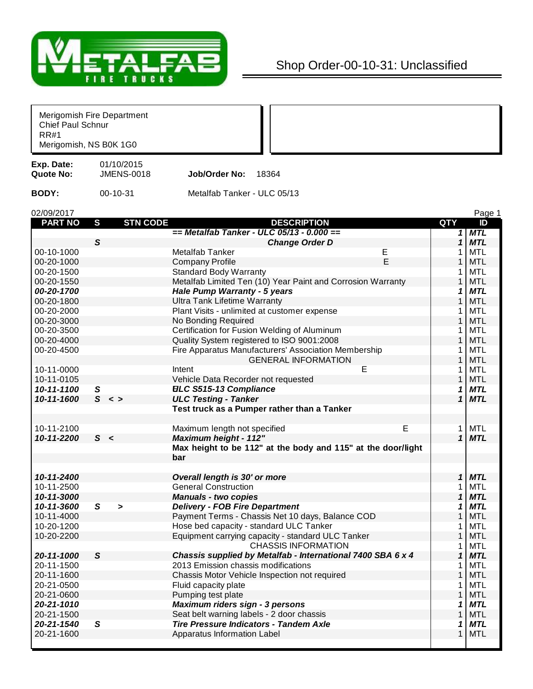

## Shop Order-00-10-31: Unclassified

| Chief Paul Schnur<br><b>RR#1</b> | Merigomish Fire Department<br>Merigomish, NS B0K 1G0 |                                                              |                |            |
|----------------------------------|------------------------------------------------------|--------------------------------------------------------------|----------------|------------|
| Exp. Date:<br>Quote No:          | 01/10/2015<br><b>JMENS-0018</b>                      | Job/Order No:<br>18364                                       |                |            |
| <b>BODY:</b>                     | 00-10-31                                             | Metalfab Tanker - ULC 05/13                                  |                |            |
| 02/09/2017                       |                                                      |                                                              |                | Page 1     |
| <b>PART NO</b>                   | <b>STN CODE</b><br>S                                 | <b>DESCRIPTION</b>                                           | QTY            | ID         |
|                                  |                                                      | == Metalfab Tanker - ULC 05/13 - 0.000 ==                    | 1 <sup>1</sup> | <b>MTL</b> |
|                                  | $\mathsf{s}$                                         | <b>Change Order D</b>                                        | $\mathbf{1}$   | <b>MTL</b> |
| 00-10-1000                       |                                                      | <b>Metalfab Tanker</b><br>Ε                                  |                | <b>MTL</b> |
| 00-20-1000                       |                                                      | E<br><b>Company Profile</b>                                  |                | <b>MTL</b> |
| 00-20-1500                       |                                                      | <b>Standard Body Warranty</b>                                |                | <b>MTL</b> |
| 00-20-1550                       |                                                      | Metalfab Limited Ten (10) Year Paint and Corrosion Warranty  |                | <b>MTL</b> |
| 00-20-1700                       |                                                      | Hale Pump Warranty - 5 years                                 | 1              | <b>MTL</b> |
| 00-20-1800                       |                                                      | <b>Ultra Tank Lifetime Warranty</b>                          | 1              | <b>MTL</b> |
| 00-20-2000                       |                                                      | Plant Visits - unlimited at customer expense                 | 1              | <b>MTL</b> |
| 00-20-3000                       |                                                      | No Bonding Required                                          | 1              | <b>MTL</b> |
| 00-20-3500                       |                                                      | Certification for Fusion Welding of Aluminum                 |                | <b>MTL</b> |
| 00-20-4000                       |                                                      | Quality System registered to ISO 9001:2008                   |                | <b>MTL</b> |
| 00-20-4500                       |                                                      | Fire Apparatus Manufacturers' Association Membership         |                | <b>MTL</b> |
|                                  |                                                      | <b>GENERAL INFORMATION</b>                                   |                | <b>MTL</b> |
| 10-11-0000                       |                                                      | Е<br>Intent                                                  | 1              | <b>MTL</b> |
| 10-11-0105                       |                                                      | Vehicle Data Recorder not requested                          | 1              | <b>MTL</b> |
| 10-11-1100                       | ${\mathsf S}$                                        | <b>ELC S515-13 Compliance</b>                                | 1              | <b>MTL</b> |
| 10-11-1600                       | S <                                                  | <b>ULC Testing - Tanker</b>                                  | 1              | <b>MTL</b> |
|                                  |                                                      | Test truck as a Pumper rather than a Tanker                  |                |            |
|                                  |                                                      |                                                              |                |            |
| 10-11-2100                       |                                                      | E<br>Maximum length not specified                            | 1              | MTL        |
| 10-11-2200                       | S <                                                  | <b>Maximum height - 112"</b>                                 | $\mathbf{1}$   | <b>MTL</b> |
|                                  |                                                      | Max height to be 112" at the body and 115" at the door/light |                |            |
|                                  |                                                      | bar                                                          |                |            |
|                                  |                                                      |                                                              |                |            |
| 10-11-2400                       |                                                      | Overall length is 30' or more                                | 1              | <b>MTL</b> |
| 10-11-2500                       |                                                      | <b>General Construction</b>                                  |                | MTL        |
| 10-11-3000                       |                                                      |                                                              | 1              | <b>MTL</b> |
| 10-11-3600                       | S                                                    | <b>Manuals - two copies</b>                                  | 1              | <b>MTL</b> |
| 10-11-4000                       | $\blacktriangleright$                                | <b>Delivery - FOB Fire Department</b>                        |                | <b>MTL</b> |
| 10-20-1200                       |                                                      | Payment Terms - Chassis Net 10 days, Balance COD             |                | <b>MTL</b> |
| 10-20-2200                       |                                                      | Hose bed capacity - standard ULC Tanker                      | 1              |            |
|                                  |                                                      | Equipment carrying capacity - standard ULC Tanker            |                | <b>MTL</b> |
|                                  |                                                      | <b>CHASSIS INFORMATION</b>                                   | 1              | <b>MTL</b> |
| 20-11-1000                       | $\mathsf{s}$                                         | Chassis supplied by Metalfab - International 7400 SBA 6 x 4  | $\mathbf{1}$   | <b>MTL</b> |
| 20-11-1500                       |                                                      | 2013 Emission chassis modifications                          | 1              | <b>MTL</b> |
| 20-11-1600                       |                                                      | Chassis Motor Vehicle Inspection not required                |                | <b>MTL</b> |
| 20-21-0500                       |                                                      | Fluid capacity plate                                         |                | <b>MTL</b> |
| 20-21-0600                       |                                                      | Pumping test plate                                           |                | <b>MTL</b> |
| 20-21-1010                       |                                                      | Maximum riders sign - 3 persons                              | 1              | <b>MTL</b> |
| 20-21-1500                       |                                                      | Seat belt warning labels - 2 door chassis                    | 1              | <b>MTL</b> |
| 20-21-1540                       | $\mathsf{s}$                                         | <b>Tire Pressure Indicators - Tandem Axle</b>                | 1              | <b>MTL</b> |
| 20-21-1600                       |                                                      | Apparatus Information Label                                  | $\mathbf{1}$   | <b>MTL</b> |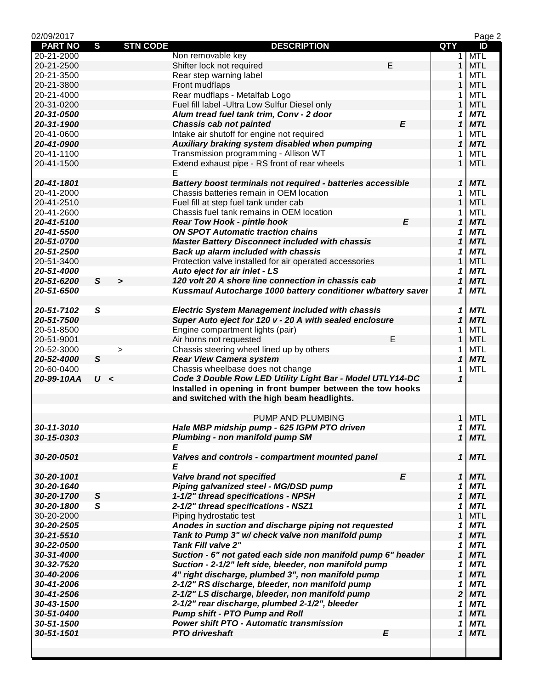| 02/09/2017     |              |                 |                                                              |   |                            | Page 2     |
|----------------|--------------|-----------------|--------------------------------------------------------------|---|----------------------------|------------|
| <b>PART NO</b> | $\mathbf{s}$ | <b>STN CODE</b> | <b>DESCRIPTION</b>                                           |   | <b>QTY</b>                 | ID         |
| 20-21-2000     |              |                 | Non removable key                                            |   | 1                          | <b>MTL</b> |
| 20-21-2500     |              |                 | Е<br>Shifter lock not required                               |   | $\mathbf{1}$               | <b>MTL</b> |
| 20-21-3500     |              |                 | Rear step warning label                                      |   | 1                          | <b>MTL</b> |
| 20-21-3800     |              |                 | Front mudflaps                                               |   | 1                          | <b>MTL</b> |
| 20-21-4000     |              |                 | Rear mudflaps - Metalfab Logo                                |   | 1                          | <b>MTL</b> |
| 20-31-0200     |              |                 | Fuel fill label - Ultra Low Sulfur Diesel only               |   | $\mathbf{1}$               | <b>MTL</b> |
| 20-31-0500     |              |                 | Alum tread fuel tank trim, Conv - 2 door                     |   | 1                          | <b>MTL</b> |
| 20-31-1900     |              |                 | <b>Chassis cab not painted</b>                               | E | $\mathbf{1}$               | <b>MTL</b> |
| 20-41-0600     |              |                 | Intake air shutoff for engine not required                   |   | 1                          | <b>MTL</b> |
| 20-41-0900     |              |                 | Auxiliary braking system disabled when pumping               |   | $\mathbf{1}$               | <b>MTL</b> |
| 20-41-1100     |              |                 | Transmission programming - Allison WT                        |   | 1                          | <b>MTL</b> |
| 20-41-1500     |              |                 | Extend exhaust pipe - RS front of rear wheels                |   | $\mathbf{1}$               | <b>MTL</b> |
|                |              |                 | E                                                            |   |                            |            |
| 20-41-1801     |              |                 |                                                              |   | 1                          | <b>MTL</b> |
|                |              |                 | Battery boost terminals not required - batteries accessible  |   |                            | <b>MTL</b> |
| 20-41-2000     |              |                 | Chassis batteries remain in OEM location                     |   | 1                          |            |
| 20-41-2510     |              |                 | Fuel fill at step fuel tank under cab                        |   | $\mathbf{1}$               | <b>MTL</b> |
| 20-41-2600     |              |                 | Chassis fuel tank remains in OEM location                    |   | 1                          | MTL        |
| 20-41-5100     |              |                 | <b>Rear Tow Hook - pintle hook</b>                           | E | $\mathbf{1}$               | <b>MTL</b> |
| 20-41-5500     |              |                 | <b>ON SPOT Automatic traction chains</b>                     |   | 1                          | <b>MTL</b> |
| 20-51-0700     |              |                 | <b>Master Battery Disconnect included with chassis</b>       |   | 1                          | <b>MTL</b> |
| 20-51-2500     |              |                 | Back up alarm included with chassis                          |   | 1                          | <b>MTL</b> |
| 20-51-3400     |              |                 | Protection valve installed for air operated accessories      |   | 1                          | <b>MTL</b> |
| 20-51-4000     |              |                 | Auto eject for air inlet - LS                                |   | 1                          | <b>MTL</b> |
| 20-51-6200     | $\mathsf{s}$ | $\rightarrow$   | 120 volt 20 A shore line connection in chassis cab           |   | $\boldsymbol{\mathcal{L}}$ | <b>MTL</b> |
| 20-51-6500     |              |                 | Kussmaul Autocharge 1000 battery conditioner w/battery saver |   | 1                          | <b>MTL</b> |
|                |              |                 |                                                              |   |                            |            |
| 20-51-7102     | S            |                 | <b>Electric System Management included with chassis</b>      |   | 1                          | <b>MTL</b> |
| 20-51-7500     |              |                 | Super Auto eject for 120 v - 20 A with sealed enclosure      |   | 1                          | <b>MTL</b> |
| 20-51-8500     |              |                 | Engine compartment lights (pair)                             |   | 1                          | <b>MTL</b> |
| 20-51-9001     |              |                 | E<br>Air horns not requested                                 |   | $\mathbf{1}$               | <b>MTL</b> |
| 20-52-3000     |              | $\, > \,$       | Chassis steering wheel lined up by others                    |   | 1                          | <b>MTL</b> |
| 20-52-4000     | $\mathsf{s}$ |                 | <b>Rear View Camera system</b>                               |   | $\mathbf{1}$               | <b>MTL</b> |
| 20-60-0400     |              |                 | Chassis wheelbase does not change                            |   | 1                          | <b>MTL</b> |
|                | U <          |                 | Code 3 Double Row LED Utility Light Bar - Model UTLY14-DC    |   | $\mathbf{1}$               |            |
| 20-99-10AA     |              |                 |                                                              |   |                            |            |
|                |              |                 | Installed in opening in front bumper between the tow hooks   |   |                            |            |
|                |              |                 | and switched with the high beam headlights.                  |   |                            |            |
|                |              |                 |                                                              |   |                            |            |
|                |              |                 | PUMP AND PLUMBING                                            |   |                            | $1$ MTL    |
| 30-11-3010     |              |                 | Hale MBP midship pump - 625 IGPM PTO driven                  |   | 1                          | <b>MTL</b> |
| 30-15-0303     |              |                 | <b>Plumbing - non manifold pump SM</b>                       |   | $\mathbf{1}$               | <b>MTL</b> |
|                |              |                 | E                                                            |   |                            |            |
| 30-20-0501     |              |                 | Valves and controls - compartment mounted panel              |   |                            | $1$ MTL    |
|                |              |                 | E                                                            |   |                            |            |
| 30-20-1001     |              |                 | Valve brand not specified                                    | E | 1                          | <b>MTL</b> |
| 30-20-1640     |              |                 | Piping galvanized steel - MG/DSD pump                        |   | 1                          | <b>MTL</b> |
| 30-20-1700     | S            |                 | 1-1/2" thread specifications - NPSH                          |   | $\mathbf{1}$               | <b>MTL</b> |
| 30-20-1800     | $\mathsf{s}$ |                 | 2-1/2" thread specifications - NSZ1                          |   | 1                          | <b>MTL</b> |
| 30-20-2000     |              |                 | Piping hydrostatic test                                      |   | $\mathbf{1}$               | <b>MTL</b> |
| 30-20-2505     |              |                 | Anodes in suction and discharge piping not requested         |   | 1                          | <b>MTL</b> |
| 30-21-5510     |              |                 | Tank to Pump 3" w/ check valve non manifold pump             |   | $\boldsymbol{\mathcal{L}}$ | <b>MTL</b> |
| 30-22-0500     |              |                 | <b>Tank Fill valve 2"</b>                                    |   | 1                          | <b>MTL</b> |
| 30-31-4000     |              |                 | Suction - 6" not gated each side non manifold pump 6" header |   | 1                          | <b>MTL</b> |
| 30-32-7520     |              |                 | Suction - 2-1/2" left side, bleeder, non manifold pump       |   | 1                          | <b>MTL</b> |
| 30-40-2006     |              |                 | 4" right discharge, plumbed 3", non manifold pump            |   | $\mathbf{1}$               | <b>MTL</b> |
| 30-41-2006     |              |                 | 2-1/2" RS discharge, bleeder, non manifold pump              |   | 1                          | <b>MTL</b> |
| 30-41-2506     |              |                 | 2-1/2" LS discharge, bleeder, non manifold pump              |   | $\overline{\mathbf{2}}$    | <b>MTL</b> |
| 30-43-1500     |              |                 | 2-1/2" rear discharge, plumbed 2-1/2", bleeder               |   | 1                          | <b>MTL</b> |
|                |              |                 | <b>Pump shift - PTO Pump and Roll</b>                        |   | $\mathbf{1}$               |            |
| 30-51-0400     |              |                 |                                                              |   |                            | <b>MTL</b> |
| 30-51-1500     |              |                 | <b>Power shift PTO - Automatic transmission</b><br>$\pmb{E}$ |   | 1                          | <b>MTL</b> |
| 30-51-1501     |              |                 | <b>PTO driveshaft</b>                                        |   | $\boldsymbol{\mathcal{L}}$ | <b>MTL</b> |
|                |              |                 |                                                              |   |                            |            |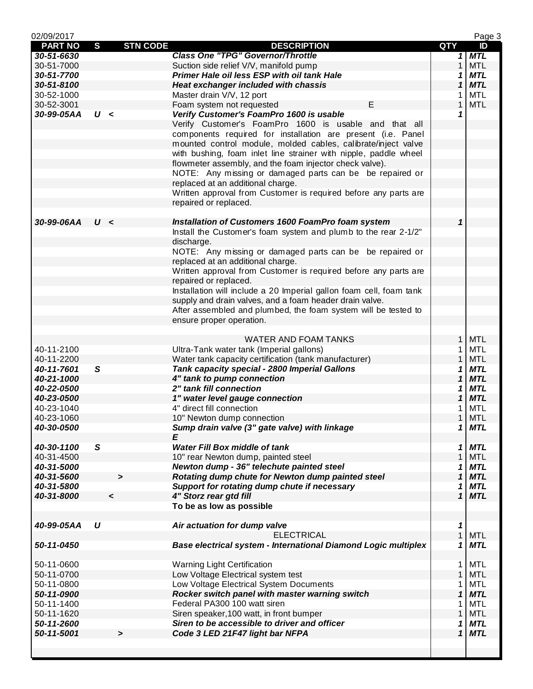| 02/09/2017     |              |                 |                                                                     |              | Page 3     |
|----------------|--------------|-----------------|---------------------------------------------------------------------|--------------|------------|
| <b>PART NO</b> | $\mathbf{s}$ | <b>STN CODE</b> | <b>DESCRIPTION</b>                                                  | QTY          | ID         |
| 30-51-6630     |              |                 | <b>Class One "TPG" Governor/Throttle</b>                            |              | $1$ MTL    |
| 30-51-7000     |              |                 | Suction side relief V/V, manifold pump                              | $\mathbf{1}$ | <b>MTL</b> |
| 30-51-7700     |              |                 | Primer Hale oil less ESP with oil tank Hale                         | 1            | <b>MTL</b> |
| 30-51-8100     |              |                 | <b>Heat exchanger included with chassis</b>                         | 1            | <b>MTL</b> |
| 30-52-1000     |              |                 | Master drain V/V, 12 port                                           | 1            | <b>MTL</b> |
| 30-52-3001     |              |                 | E<br>Foam system not requested                                      | $\mathbf{1}$ | <b>MTL</b> |
|                | U <          |                 |                                                                     |              |            |
| 30-99-05AA     |              |                 | Verify Customer's FoamPro 1600 is usable                            | 1            |            |
|                |              |                 | Verify Customer's FoamPro 1600 is usable and that all               |              |            |
|                |              |                 | components required for installation are present (i.e. Panel        |              |            |
|                |              |                 | mounted control module, molded cables, calibrate/inject valve       |              |            |
|                |              |                 | with bushing, foam inlet line strainer with nipple, paddle wheel    |              |            |
|                |              |                 | flowmeter assembly, and the foam injector check valve).             |              |            |
|                |              |                 | NOTE: Any missing or damaged parts can be be repaired or            |              |            |
|                |              |                 | replaced at an additional charge.                                   |              |            |
|                |              |                 | Written approval from Customer is required before any parts are     |              |            |
|                |              |                 | repaired or replaced.                                               |              |            |
|                |              |                 |                                                                     |              |            |
| 30-99-06AA     | U<           |                 | Installation of Customers 1600 FoamPro foam system                  | 1            |            |
|                |              |                 |                                                                     |              |            |
|                |              |                 | Install the Customer's foam system and plumb to the rear 2-1/2"     |              |            |
|                |              |                 | discharge.                                                          |              |            |
|                |              |                 | NOTE: Any missing or damaged parts can be be repaired or            |              |            |
|                |              |                 | replaced at an additional charge.                                   |              |            |
|                |              |                 | Written approval from Customer is required before any parts are     |              |            |
|                |              |                 | repaired or replaced.                                               |              |            |
|                |              |                 | Installation will include a 20 Imperial gallon foam cell, foam tank |              |            |
|                |              |                 | supply and drain valves, and a foam header drain valve.             |              |            |
|                |              |                 | After assembled and plumbed, the foam system will be tested to      |              |            |
|                |              |                 | ensure proper operation.                                            |              |            |
|                |              |                 |                                                                     |              |            |
|                |              |                 | <b>WATER AND FOAM TANKS</b>                                         | 1            | <b>MTL</b> |
|                |              |                 |                                                                     |              |            |
| 40-11-2100     |              |                 | Ultra-Tank water tank (Imperial gallons)                            | 1            | MTL        |
| 40-11-2200     |              |                 | Water tank capacity certification (tank manufacturer)               | 1            | <b>MTL</b> |
| 40-11-7601     | S            |                 | Tank capacity special - 2800 Imperial Gallons                       | 1            | <b>MTL</b> |
| 40-21-1000     |              |                 | 4" tank to pump connection                                          | 1            | <b>MTL</b> |
| 40-22-0500     |              |                 | 2" tank fill connection                                             | 1            | <b>MTL</b> |
| 40-23-0500     |              |                 | 1" water level gauge connection                                     | 1            | <b>MTL</b> |
| 40-23-1040     |              |                 | 4" direct fill connection                                           | 1            | <b>MTL</b> |
| 40-23-1060     |              |                 | 10" Newton dump connection                                          | 1            | <b>MTL</b> |
| 40-30-0500     |              |                 | Sump drain valve (3" gate valve) with linkage                       | 1            | <b>MTL</b> |
|                |              |                 | E                                                                   |              |            |
| 40-30-1100     | S            |                 | <b>Water Fill Box middle of tank</b>                                | 1            | <b>MTL</b> |
| 40-31-4500     |              |                 | 10" rear Newton dump, painted steel                                 | 1            | <b>MTL</b> |
| 40-31-5000     |              |                 | Newton dump - 36" telechute painted steel                           |              | <b>MTL</b> |
|                |              |                 |                                                                     | 1            |            |
| 40-31-5600     |              | $\geq$          | Rotating dump chute for Newton dump painted steel                   | 1            | <b>MTL</b> |
| 40-31-5800     |              |                 | Support for rotating dump chute if necessary                        | 1            | <b>MTL</b> |
| 40-31-8000     |              | $\prec$         | 4" Storz rear gtd fill                                              | $\mathbf 1$  | <b>MTL</b> |
|                |              |                 | To be as low as possible                                            |              |            |
|                |              |                 |                                                                     |              |            |
| 40-99-05AA     | U            |                 | Air actuation for dump valve                                        | 1            |            |
|                |              |                 | <b>ELECTRICAL</b>                                                   | $\mathbf{1}$ | <b>MTL</b> |
| 50-11-0450     |              |                 | Base electrical system - International Diamond Logic multiplex      | 1            | <b>MTL</b> |
|                |              |                 |                                                                     |              |            |
| 50-11-0600     |              |                 | <b>Warning Light Certification</b>                                  | 1            | <b>MTL</b> |
| 50-11-0700     |              |                 | Low Voltage Electrical system test                                  | $\mathbf{1}$ | <b>MTL</b> |
| 50-11-0800     |              |                 | Low Voltage Electrical System Documents                             | 1            | <b>MTL</b> |
|                |              |                 |                                                                     |              |            |
| 50-11-0900     |              |                 | Rocker switch panel with master warning switch                      | 1            | <b>MTL</b> |
| 50-11-1400     |              |                 | Federal PA300 100 watt siren                                        | 1            | <b>MTL</b> |
| 50-11-1620     |              |                 | Siren speaker, 100 watt, in front bumper                            | 1            | <b>MTL</b> |
| 50-11-2600     |              |                 | Siren to be accessible to driver and officer                        | 1            | MTL        |
| 50-11-5001     |              | $\geq$          | Code 3 LED 21F47 light bar NFPA                                     | 1            | <b>MTL</b> |
|                |              |                 |                                                                     |              |            |
|                |              |                 |                                                                     |              |            |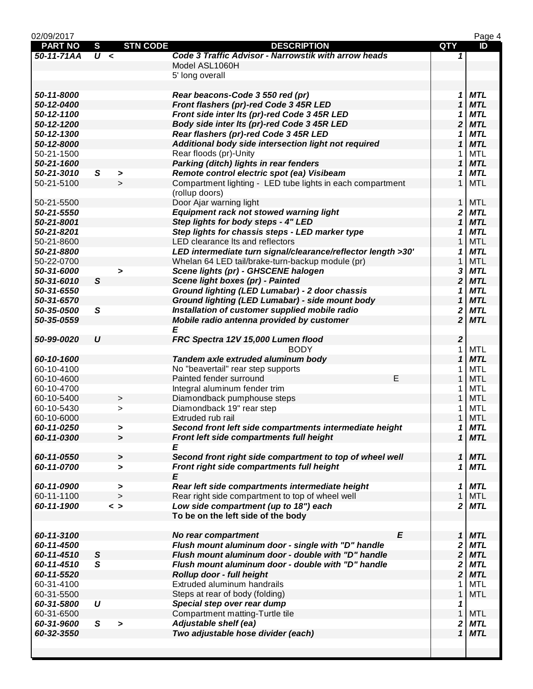| 02/09/2017     |                  |                       |                                                              |                         | Page 4     |
|----------------|------------------|-----------------------|--------------------------------------------------------------|-------------------------|------------|
| <b>PART NO</b> | $\mathbf{s}$     | <b>STN CODE</b>       | <b>DESCRIPTION</b>                                           | QTY                     | ID         |
| 50-11-71AA     | $\overline{U}$ < |                       | Code 3 Traffic Advisor - Narrowstik with arrow heads         | 1                       |            |
|                |                  |                       | Model ASL1060H                                               |                         |            |
|                |                  |                       | 5' long overall                                              |                         |            |
|                |                  |                       |                                                              |                         |            |
| 50-11-8000     |                  |                       | Rear beacons-Code 3 550 red (pr)                             | 1                       | <b>MTL</b> |
| 50-12-0400     |                  |                       | Front flashers (pr)-red Code 3 45R LED                       | $\mathbf{1}$            | <b>MTL</b> |
| 50-12-1100     |                  |                       | Front side inter Its (pr)-red Code 3 45R LED                 | 1                       | <b>MTL</b> |
| 50-12-1200     |                  |                       | Body side inter Its (pr)-red Code 3 45R LED                  | $\overline{\mathbf{2}}$ | <b>MTL</b> |
| 50-12-1300     |                  |                       | Rear flashers (pr)-red Code 3 45R LED                        | 1                       | <b>MTL</b> |
| 50-12-8000     |                  |                       | Additional body side intersection light not required         | 1                       | <b>MTL</b> |
| 50-21-1500     |                  |                       | Rear floods (pr)-Unity                                       | 1                       | <b>MTL</b> |
| 50-21-1600     |                  |                       | <b>Parking (ditch) lights in rear fenders</b>                | 1                       | <b>MTL</b> |
| 50-21-3010     | S                | $\blacktriangleright$ | Remote control electric spot (ea) Visibeam                   | 1                       | <b>MTL</b> |
| 50-21-5100     |                  | $\geq$                | Compartment lighting - LED tube lights in each compartment   | $\mathbf{1}$            | <b>MTL</b> |
|                |                  |                       | (rollup doors)                                               |                         |            |
| 50-21-5500     |                  |                       | Door Ajar warning light                                      | $\mathbf{1}$            | <b>MTL</b> |
| 50-21-5550     |                  |                       | Equipment rack not stowed warning light                      | 2                       | <b>MTL</b> |
|                |                  |                       | Step lights for body steps - 4" LED                          | $\mathbf{1}$            | <b>MTL</b> |
| 50-21-8001     |                  |                       |                                                              |                         |            |
| 50-21-8201     |                  |                       | Step lights for chassis steps - LED marker type              | 1                       | <b>MTL</b> |
| 50-21-8600     |                  |                       | LED clearance Its and reflectors                             | $\mathbf{1}$            | <b>MTL</b> |
| 50-21-8800     |                  |                       | LED intermediate turn signal/clearance/reflector length >30' | 1                       | <b>MTL</b> |
| 50-22-0700     |                  |                       | Whelan 64 LED tail/brake-turn-backup module (pr)             | 1                       | <b>MTL</b> |
| 50-31-6000     |                  | >                     | Scene lights (pr) - GHSCENE halogen                          | 3                       | <b>MTL</b> |
| 50-31-6010     | $\mathsf{s}$     |                       | Scene light boxes (pr) - Painted                             | $\overline{\mathbf{2}}$ | <b>MTL</b> |
| 50-31-6550     |                  |                       | Ground lighting (LED Lumabar) - 2 door chassis               | 1                       | <b>MTL</b> |
| 50-31-6570     |                  |                       | Ground lighting (LED Lumabar) - side mount body              | $\mathbf{1}$            | <b>MTL</b> |
| 50-35-0500     | S                |                       | Installation of customer supplied mobile radio               | 2                       | <b>MTL</b> |
| 50-35-0559     |                  |                       | Mobile radio antenna provided by customer                    | $\overline{\mathbf{2}}$ | <b>MTL</b> |
|                |                  |                       | E                                                            |                         |            |
| 50-99-0020     | $\boldsymbol{U}$ |                       | FRC Spectra 12V 15,000 Lumen flood                           | $\boldsymbol{2}$        |            |
|                |                  |                       | <b>BODY</b>                                                  | 1                       | <b>MTL</b> |
| 60-10-1600     |                  |                       | Tandem axle extruded aluminum body                           | $\mathbf{1}$            | <b>MTL</b> |
| 60-10-4100     |                  |                       | No "beavertail" rear step supports                           | 1                       | <b>MTL</b> |
| 60-10-4600     |                  |                       | E<br>Painted fender surround                                 | 1                       | <b>MTL</b> |
| 60-10-4700     |                  |                       | Integral aluminum fender trim                                | 1                       | <b>MTL</b> |
| 60-10-5400     |                  | $\, >$                | Diamondback pumphouse steps                                  | 1                       | <b>MTL</b> |
| 60-10-5430     |                  | $\geq$                | Diamondback 19" rear step                                    | 1                       | <b>MTL</b> |
| 60-10-6000     |                  |                       | Extruded rub rail                                            | 1                       | <b>MTL</b> |
| 60-11-0250     |                  |                       | Second front left side compartments intermediate height      | 1                       | <b>MTL</b> |
| 60-11-0300     |                  | >                     | Front left side compartments full height                     | $\mathbf{1}$            | <b>MTL</b> |
|                |                  | $\blacktriangleright$ |                                                              |                         |            |
|                |                  |                       | Ε                                                            |                         |            |
| 60-11-0550     |                  | >                     | Second front right side compartment to top of wheel well     | 1                       | <b>MTL</b> |
| 60-11-0700     |                  | $\blacktriangleright$ | Front right side compartments full height                    | 1                       | <b>MTL</b> |
|                |                  |                       | Ε                                                            |                         |            |
| 60-11-0900     |                  | >                     | Rear left side compartments intermediate height              | 1                       | <b>MTL</b> |
| 60-11-1100     |                  | $\geq$                | Rear right side compartment to top of wheel well             | $\mathbf{1}$            | <b>MTL</b> |
| 60-11-1900     |                  | $\langle$ >           | Low side compartment (up to 18") each                        | 2                       | <b>MTL</b> |
|                |                  |                       | To be on the left side of the body                           |                         |            |
|                |                  |                       |                                                              |                         |            |
| 60-11-3100     |                  |                       | E<br>No rear compartment                                     | 1                       | <b>MTL</b> |
| 60-11-4500     |                  |                       | Flush mount aluminum door - single with "D" handle           | 2                       | <b>MTL</b> |
| 60-11-4510     | ${\mathsf S}$    |                       | Flush mount aluminum door - double with "D" handle           | $\overline{\mathbf{2}}$ | <b>MTL</b> |
| 60-11-4510     | $\mathsf{s}$     |                       | Flush mount aluminum door - double with "D" handle           | 2                       | <b>MTL</b> |
| 60-11-5520     |                  |                       | Rollup door - full height                                    | $\overline{\mathbf{2}}$ | <b>MTL</b> |
| 60-31-4100     |                  |                       | Extruded aluminum handrails                                  | 1                       | <b>MTL</b> |
| 60-31-5500     |                  |                       | Steps at rear of body (folding)                              | $\mathbf{1}$            | <b>MTL</b> |
| 60-31-5800     | U                |                       | Special step over rear dump                                  | 1                       |            |
| 60-31-6500     |                  |                       | Compartment matting-Turtle tile                              | $\mathbf{1}$            | <b>MTL</b> |
| 60-31-9600     | S                | $\geq$                | Adjustable shelf (ea)                                        | 2                       | <b>MTL</b> |
| 60-32-3550     |                  |                       | Two adjustable hose divider (each)                           | $\mathbf{1}$            | <b>MTL</b> |
|                |                  |                       |                                                              |                         |            |
|                |                  |                       |                                                              |                         |            |